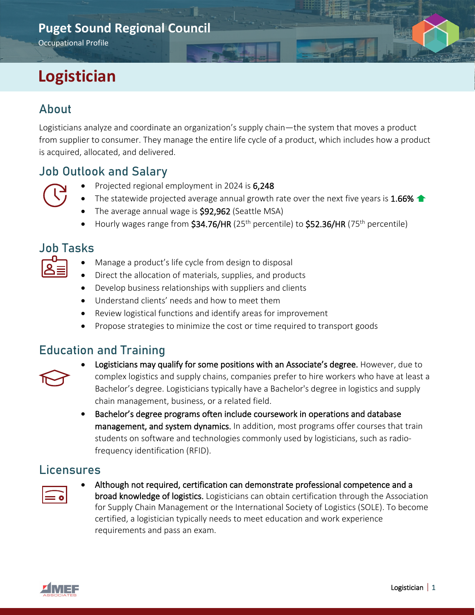## **Puget Sound Regional Council**

Occupational Profile

# **Logistician**

## About

Logisticians analyze and coordinate an organization's supply chain—the system that moves a product from supplier to consumer. They manage the entire life cycle of a product, which includes how a product is acquired, allocated, and delivered.

#### Job Outlook and Salary

- Projected regional employment in 2024 is 6,248
- The statewide projected average annual growth rate over the next five years is 1.66%  $\blacktriangle$
- The average annual wage is \$92,962 (Seattle MSA)
- Hourly wages range from  $$34.76/HR$  (25<sup>th</sup> percentile) to  $$52.36/HR$  (75<sup>th</sup> percentile)

#### Job Tasks

- 
- Manage a product's life cycle from design to disposal
- Direct the allocation of materials, supplies, and products
- Develop business relationships with suppliers and clients
- Understand clients' needs and how to meet them
- Review logistical functions and identify areas for improvement
- Propose strategies to minimize the cost or time required to transport goods

#### Education and Training



- Logisticians may qualify for some positions with an Associate's degree. However, due to complex logistics and supply chains, companies prefer to hire workers who have at least a Bachelor's degree. Logisticians typically have a Bachelor's degree in logistics and supply chain management, business, or a related field.
- Bachelor's degree programs often include coursework in operations and database management, and system dynamics. In addition, most programs offer courses that train students on software and technologies commonly used by logisticians, such as radiofrequency identification (RFID).

#### Licensures



• Although not required, certification can demonstrate professional competence and a broad knowledge of logistics. Logisticians can obtain certification through the Association for Supply Chain Management or the International Society of Logistics (SOLE). To become certified, a logistician typically needs to meet education and work experience requirements and pass an exam.

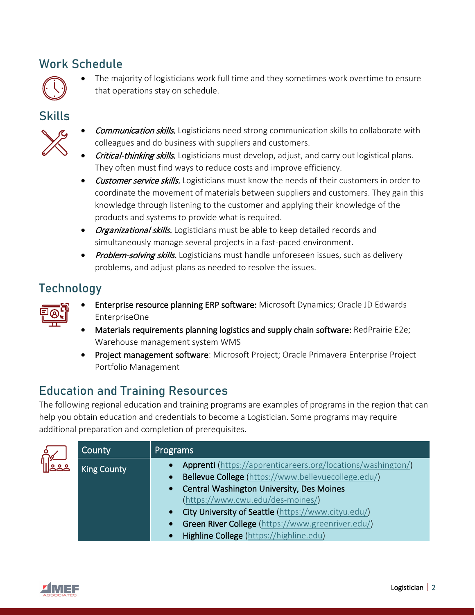## Work Schedule



The majority of logisticians work full time and they sometimes work overtime to ensure that operations stay on schedule.

#### **Skills**



- **Communication skills.** Logisticians need strong communication skills to collaborate with colleagues and do business with suppliers and customers.
- *Critical-thinking skills.* Logisticians must develop, adjust, and carry out logistical plans. They often must find ways to reduce costs and improve efficiency.
- Customer service skills. Logisticians must know the needs of their customers in order to coordinate the movement of materials between suppliers and customers. They gain this knowledge through listening to the customer and applying their knowledge of the products and systems to provide what is required.
- Organizational skills. Logisticians must be able to keep detailed records and simultaneously manage several projects in a fast-paced environment.
- Problem-solving skills. Logisticians must handle unforeseen issues, such as delivery problems, and adjust plans as needed to resolve the issues.

## **Technology**



- Enterprise resource planning ERP software: Microsoft Dynamics; Oracle JD Edwards EnterpriseOne
- Materials requirements planning logistics and supply chain software: RedPrairie E2e; Warehouse management system WMS
- Project management software: Microsoft Project; Oracle Primavera Enterprise Project Portfolio Management

# Education and Training Resources

The following regional education and training programs are examples of programs in the region that can help you obtain education and credentials to become a Logistician. Some programs may require additional preparation and completion of prerequisites.

| County             | <b>Programs</b>                                                                                                                                                                                                                                                                                                                                                    |
|--------------------|--------------------------------------------------------------------------------------------------------------------------------------------------------------------------------------------------------------------------------------------------------------------------------------------------------------------------------------------------------------------|
| <b>King County</b> | Apprenti (https://apprenticareers.org/locations/washington/)<br>Bellevue College (https://www.bellevuecollege.edu/)<br>• Central Washington University, Des Moines<br>(https://www.cwu.edu/des-moines/)<br>• City University of Seattle (https://www.cityu.edu/)<br>• Green River College (https://www.greenriver.edu/)<br>Highline College (https://highline.edu) |

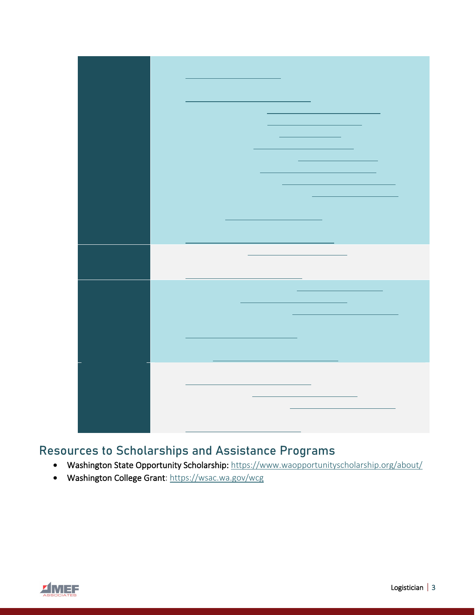| $\mathcal{L}^{\text{max}}_{\text{max}}$ and $\mathcal{L}^{\text{max}}_{\text{max}}$ and $\mathcal{L}^{\text{max}}_{\text{max}}$ and $\mathcal{L}^{\text{max}}_{\text{max}}$ |
|-----------------------------------------------------------------------------------------------------------------------------------------------------------------------------|
|                                                                                                                                                                             |
|                                                                                                                                                                             |
|                                                                                                                                                                             |
|                                                                                                                                                                             |
|                                                                                                                                                                             |
|                                                                                                                                                                             |
|                                                                                                                                                                             |
|                                                                                                                                                                             |
|                                                                                                                                                                             |
|                                                                                                                                                                             |
|                                                                                                                                                                             |
|                                                                                                                                                                             |
|                                                                                                                                                                             |
|                                                                                                                                                                             |
|                                                                                                                                                                             |
|                                                                                                                                                                             |
|                                                                                                                                                                             |
|                                                                                                                                                                             |
|                                                                                                                                                                             |
|                                                                                                                                                                             |
|                                                                                                                                                                             |
|                                                                                                                                                                             |
|                                                                                                                                                                             |
|                                                                                                                                                                             |
|                                                                                                                                                                             |
|                                                                                                                                                                             |
|                                                                                                                                                                             |
|                                                                                                                                                                             |
|                                                                                                                                                                             |
|                                                                                                                                                                             |
|                                                                                                                                                                             |
|                                                                                                                                                                             |
|                                                                                                                                                                             |
|                                                                                                                                                                             |
|                                                                                                                                                                             |
|                                                                                                                                                                             |
|                                                                                                                                                                             |
|                                                                                                                                                                             |
|                                                                                                                                                                             |
|                                                                                                                                                                             |
|                                                                                                                                                                             |
|                                                                                                                                                                             |
|                                                                                                                                                                             |
|                                                                                                                                                                             |
|                                                                                                                                                                             |
|                                                                                                                                                                             |
|                                                                                                                                                                             |
|                                                                                                                                                                             |
|                                                                                                                                                                             |
|                                                                                                                                                                             |
|                                                                                                                                                                             |
|                                                                                                                                                                             |
|                                                                                                                                                                             |
|                                                                                                                                                                             |
|                                                                                                                                                                             |
| $\mathcal{L}^{\text{max}}_{\text{max}}$ and $\mathcal{L}^{\text{max}}_{\text{max}}$ and $\mathcal{L}^{\text{max}}_{\text{max}}$                                             |
|                                                                                                                                                                             |
|                                                                                                                                                                             |
|                                                                                                                                                                             |
|                                                                                                                                                                             |
|                                                                                                                                                                             |
|                                                                                                                                                                             |
|                                                                                                                                                                             |
|                                                                                                                                                                             |
|                                                                                                                                                                             |
|                                                                                                                                                                             |
|                                                                                                                                                                             |
|                                                                                                                                                                             |
|                                                                                                                                                                             |
|                                                                                                                                                                             |
|                                                                                                                                                                             |
|                                                                                                                                                                             |
|                                                                                                                                                                             |
|                                                                                                                                                                             |
|                                                                                                                                                                             |
|                                                                                                                                                                             |
|                                                                                                                                                                             |
|                                                                                                                                                                             |

## Resources to Scholarships and Assistance Programs

- Washington State Opportunity Scholarship:<https://www.waopportunityscholarship.org/about/>
- Washington College Grant:<https://wsac.wa.gov/wcg>